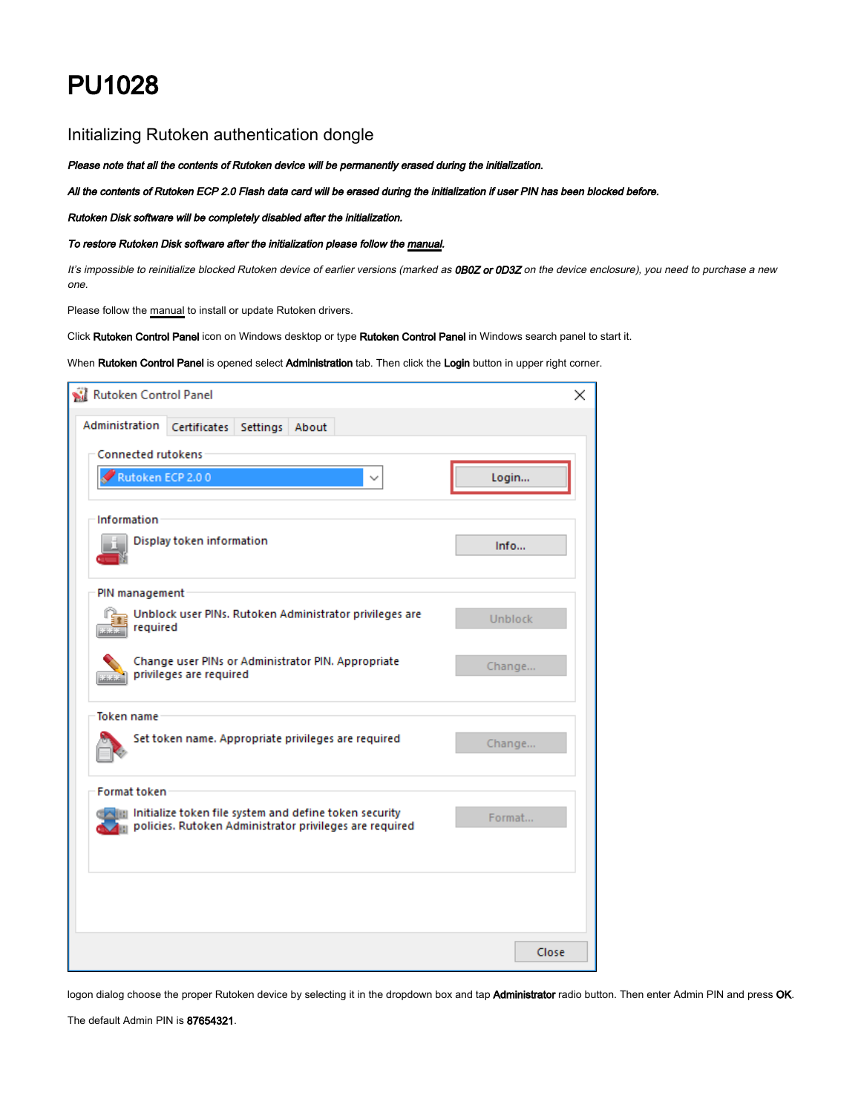## PU1028

## Initializing Rutoken authentication dongle

Please note that all the contents of Rutoken device will be permanently erased during the initialization.

All the contents of Rutoken ECP 2.0 Flash data card will be erased during the initialization if user PIN has been blocked before.

Rutoken Disk software will be completely disabled after the initialization.

## To restore Rutoken Disk software after the initialization please follow the manual.

It's impossible to reinitialize blocked Rutoken device of earlier versions (marked as OB0Z or OD3Z on the device enclosure), you need to purchase a new one.

Please follow the manual to install or update Rutoken drivers.

Click Rutoken Control Panel icon on Windows desktop or type Rutoken Control Panel in Windows search panel to start it.

When Rutoken Control Panel is opened select Administration tab. Then click the Login button in upper right corner.

| Rutoken Control Panel                                                                                             | ×              |
|-------------------------------------------------------------------------------------------------------------------|----------------|
| Administration<br>Certificates Settings About                                                                     |                |
| <b>Connected rutokens</b>                                                                                         |                |
| Rutoken ECP 2.00                                                                                                  | Login          |
| Information                                                                                                       |                |
| Display token information                                                                                         | Info           |
| PIN management                                                                                                    |                |
| Unblock user PINs. Rutoken Administrator privileges are<br>required                                               | <b>Unblock</b> |
| Change user PINs or Administrator PIN. Appropriate<br>privileges are required<br>ududud.                          | Change         |
| Token name                                                                                                        |                |
| Set token name. Appropriate privileges are required                                                               | Change         |
| <b>Format token</b>                                                                                               |                |
| Initialize token file system and define token security<br>policies. Rutoken Administrator privileges are required | Format         |
|                                                                                                                   |                |
|                                                                                                                   |                |
|                                                                                                                   | Close          |

logon dialog choose the proper Rutoken device by selecting it in the dropdown box and tap Administrator radio button. Then enter Admin PIN and press OK.

The default Admin PIN is 87654321.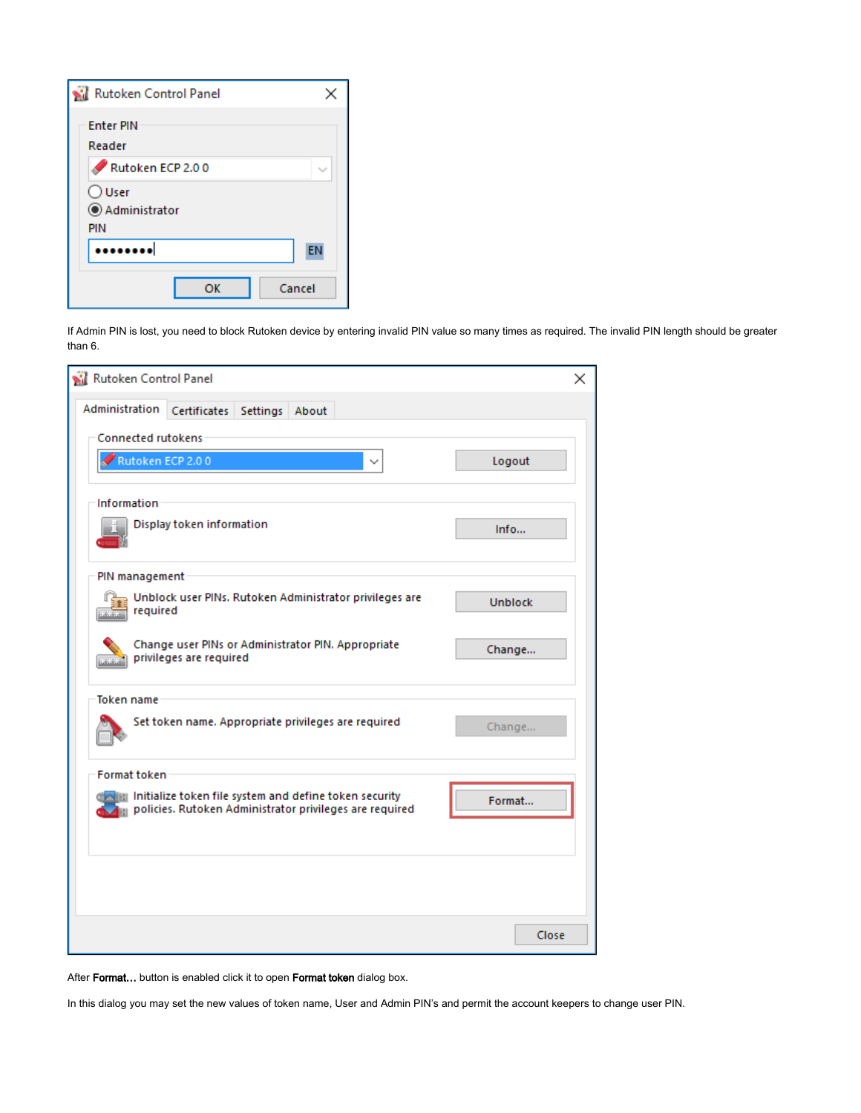| <b>Rutoken Control Panel</b>            |        |
|-----------------------------------------|--------|
| <b>Enter PIN</b><br>Reader              |        |
| Rutoken ECP 2.00                        |        |
| $\bigcirc$ User<br>Administrator<br>PIN |        |
|                                         | EN     |
| ок                                      | Cancel |

If Admin PIN is lost, you need to block Rutoken device by entering invalid PIN value so many times as required. The invalid PIN length should be greater than 6.

| Rutoken Control Panel                                                                                                | $\times$       |
|----------------------------------------------------------------------------------------------------------------------|----------------|
| Administration  <br>Settings About<br>Certificates                                                                   |                |
| <b>Connected rutokens</b>                                                                                            |                |
| Rutoken ECP 2.00                                                                                                     | Logout         |
| Information                                                                                                          |                |
| Display token information                                                                                            | Info           |
| PIN management                                                                                                       |                |
| Unblock user PINs. Rutoken Administrator privileges are<br>required                                                  | <b>Unblock</b> |
| Change user PINs or Administrator PIN. Appropriate<br>privileges are required<br>salaha .                            | Change         |
| <b>Token</b> name                                                                                                    |                |
| Set token name. Appropriate privileges are required                                                                  | Change         |
| <b>Format token</b>                                                                                                  |                |
| In Initialize token file system and define token security<br>policies. Rutoken Administrator privileges are required | Format         |
|                                                                                                                      |                |
|                                                                                                                      |                |
|                                                                                                                      |                |
|                                                                                                                      | Close          |

After Format... button is enabled click it to open Format token dialog box.

In this dialog you may set the new values of token name, User and Admin PIN's and permit the account keepers to change user PIN.